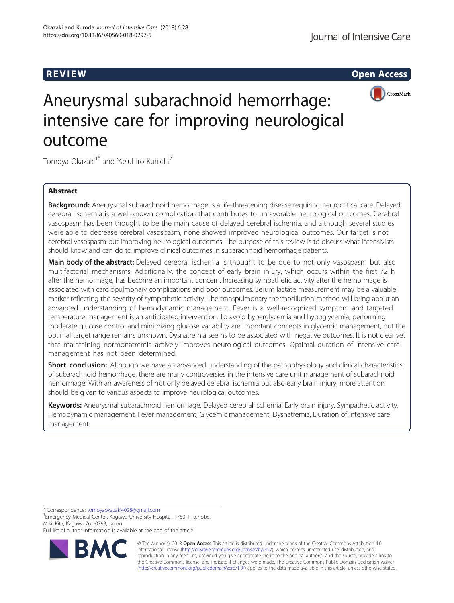R EVI EW Open Access



# Aneurysmal subarachnoid hemorrhage: intensive care for improving neurological outcome

Tomoya Okazaki<sup>1\*</sup> and Yasuhiro Kuroda<sup>2</sup>

# Abstract

Background: Aneurysmal subarachnoid hemorrhage is a life-threatening disease requiring neurocritical care. Delayed cerebral ischemia is a well-known complication that contributes to unfavorable neurological outcomes. Cerebral vasospasm has been thought to be the main cause of delayed cerebral ischemia, and although several studies were able to decrease cerebral vasospasm, none showed improved neurological outcomes. Our target is not cerebral vasospasm but improving neurological outcomes. The purpose of this review is to discuss what intensivists should know and can do to improve clinical outcomes in subarachnoid hemorrhage patients.

Main body of the abstract: Delayed cerebral ischemia is thought to be due to not only vasospasm but also multifactorial mechanisms. Additionally, the concept of early brain injury, which occurs within the first 72 h after the hemorrhage, has become an important concern. Increasing sympathetic activity after the hemorrhage is associated with cardiopulmonary complications and poor outcomes. Serum lactate measurement may be a valuable marker reflecting the severity of sympathetic activity. The transpulmonary thermodilution method will bring about an advanced understanding of hemodynamic management. Fever is a well-recognized symptom and targeted temperature management is an anticipated intervention. To avoid hyperglycemia and hypoglycemia, performing moderate glucose control and minimizing glucose variability are important concepts in glycemic management, but the optimal target range remains unknown. Dysnatremia seems to be associated with negative outcomes. It is not clear yet that maintaining normonatremia actively improves neurological outcomes. Optimal duration of intensive care management has not been determined.

Short conclusion: Although we have an advanced understanding of the pathophysiology and clinical characteristics of subarachnoid hemorrhage, there are many controversies in the intensive care unit management of subarachnoid hemorrhage. With an awareness of not only delayed cerebral ischemia but also early brain injury, more attention should be given to various aspects to improve neurological outcomes.

Keywords: Aneurysmal subarachnoid hemorrhage, Delayed cerebral ischemia, Early brain injury, Sympathetic activity, Hemodynamic management, Fever management, Glycemic management, Dysnatremia, Duration of intensive care management

\* Correspondence: [tomoyaokazaki4028@gmail.com](mailto:tomoyaokazaki4028@gmail.com) <sup>1</sup>

<sup>1</sup> Emergency Medical Center, Kagawa University Hospital, 1750-1 Ikenobe, Miki, Kita, Kagawa 761-0793, Japan

Full list of author information is available at the end of the article



© The Author(s). 2018 Open Access This article is distributed under the terms of the Creative Commons Attribution 4.0 International License [\(http://creativecommons.org/licenses/by/4.0/](http://creativecommons.org/licenses/by/4.0/)), which permits unrestricted use, distribution, and reproduction in any medium, provided you give appropriate credit to the original author(s) and the source, provide a link to the Creative Commons license, and indicate if changes were made. The Creative Commons Public Domain Dedication waiver [\(http://creativecommons.org/publicdomain/zero/1.0/](http://creativecommons.org/publicdomain/zero/1.0/)) applies to the data made available in this article, unless otherwise stated.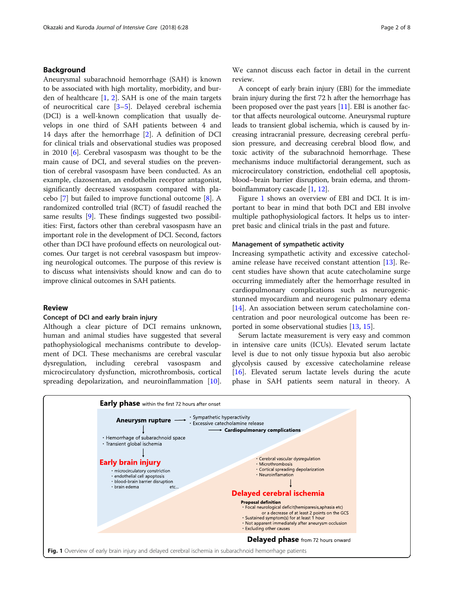# Background

Aneurysmal subarachnoid hemorrhage (SAH) is known to be associated with high mortality, morbidity, and burden of healthcare  $[1, 2]$  $[1, 2]$  $[1, 2]$  $[1, 2]$  $[1, 2]$ . SAH is one of the main targets of neurocritical care [[3](#page-6-0)–[5](#page-6-0)]. Delayed cerebral ischemia (DCI) is a well-known complication that usually develops in one third of SAH patients between 4 and 14 days after the hemorrhage [[2\]](#page-6-0). A definition of DCI for clinical trials and observational studies was proposed in 2010 [[6\]](#page-6-0). Cerebral vasospasm was thought to be the main cause of DCI, and several studies on the prevention of cerebral vasospasm have been conducted. As an example, clazosentan, an endothelin receptor antagonist, significantly decreased vasospasm compared with placebo [\[7\]](#page-6-0) but failed to improve functional outcome [\[8](#page-6-0)]. A randomized controlled trial (RCT) of fasudil reached the same results [\[9](#page-6-0)]. These findings suggested two possibilities: First, factors other than cerebral vasospasm have an important role in the development of DCI. Second, factors other than DCI have profound effects on neurological outcomes. Our target is not cerebral vasospasm but improving neurological outcomes. The purpose of this review is to discuss what intensivists should know and can do to improve clinical outcomes in SAH patients.

# Review

#### Concept of DCI and early brain injury

Although a clear picture of DCI remains unknown, human and animal studies have suggested that several pathophysiological mechanisms contribute to development of DCI. These mechanisms are cerebral vascular dysregulation, including cerebral vasospasm and microcirculatory dysfunction, microthrombosis, cortical spreading depolarization, and neuroinflammation [\[10](#page-6-0)].

We cannot discuss each factor in detail in the current review.

A concept of early brain injury (EBI) for the immediate brain injury during the first 72 h after the hemorrhage has been proposed over the past years [[11](#page-6-0)]. EBI is another factor that affects neurological outcome. Aneurysmal rupture leads to transient global ischemia, which is caused by increasing intracranial pressure, decreasing cerebral perfusion pressure, and decreasing cerebral blood flow, and toxic activity of the subarachnoid hemorrhage. These mechanisms induce multifactorial derangement, such as microcirculatory constriction, endothelial cell apoptosis, blood–brain barrier disruption, brain edema, and thromboinflammatory cascade [\[1](#page-6-0), [12\]](#page-6-0).

Figure 1 shows an overview of EBI and DCI. It is important to bear in mind that both DCI and EBI involve multiple pathophysiological factors. It helps us to interpret basic and clinical trials in the past and future.

# Management of sympathetic activity

Increasing sympathetic activity and excessive catecholamine release have received constant attention [[13\]](#page-6-0). Recent studies have shown that acute catecholamine surge occurring immediately after the hemorrhage resulted in cardiopulmonary complications such as neurogenicstunned myocardium and neurogenic pulmonary edema [[14\]](#page-6-0). An association between serum catecholamine concentration and poor neurological outcome has been reported in some observational studies [[13](#page-6-0), [15](#page-6-0)].

Serum lactate measurement is very easy and common in intensive care units (ICUs). Elevated serum lactate level is due to not only tissue hypoxia but also aerobic glycolysis caused by excessive catecholamine release [[16\]](#page-6-0). Elevated serum lactate levels during the acute phase in SAH patients seem natural in theory. A

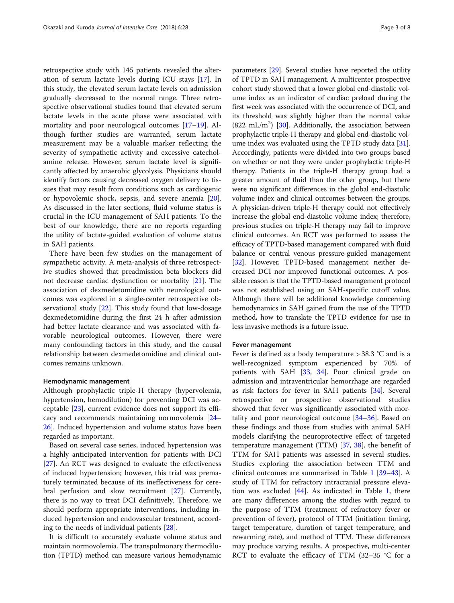retrospective study with 145 patients revealed the alteration of serum lactate levels during ICU stays [\[17](#page-6-0)]. In this study, the elevated serum lactate levels on admission gradually decreased to the normal range. Three retrospective observational studies found that elevated serum lactate levels in the acute phase were associated with mortality and poor neurological outcomes [\[17](#page-6-0)–[19\]](#page-6-0). Although further studies are warranted, serum lactate measurement may be a valuable marker reflecting the severity of sympathetic activity and excessive catecholamine release. However, serum lactate level is significantly affected by anaerobic glycolysis. Physicians should identify factors causing decreased oxygen delivery to tissues that may result from conditions such as cardiogenic or hypovolemic shock, sepsis, and severe anemia [\[20](#page-6-0)]. As discussed in the later sections, fluid volume status is crucial in the ICU management of SAH patients. To the best of our knowledge, there are no reports regarding the utility of lactate-guided evaluation of volume status in SAH patients.

There have been few studies on the management of sympathetic activity. A meta-analysis of three retrospective studies showed that preadmission beta blockers did not decrease cardiac dysfunction or mortality [\[21](#page-6-0)]. The association of dexmedetomidine with neurological outcomes was explored in a single-center retrospective observational study [[22\]](#page-6-0). This study found that low-dosage dexmedetomidine during the first 24 h after admission had better lactate clearance and was associated with favorable neurological outcomes. However, there were many confounding factors in this study, and the causal relationship between dexmedetomidine and clinical outcomes remains unknown.

# Hemodynamic management

Although prophylactic triple-H therapy (hypervolemia, hypertension, hemodilution) for preventing DCI was acceptable [[23\]](#page-6-0), current evidence does not support its efficacy and recommends maintaining normovolemia [[24](#page-6-0)– [26\]](#page-6-0). Induced hypertension and volume status have been regarded as important.

Based on several case series, induced hypertension was a highly anticipated intervention for patients with DCI [[27\]](#page-6-0). An RCT was designed to evaluate the effectiveness of induced hypertension; however, this trial was prematurely terminated because of its ineffectiveness for cerebral perfusion and slow recruitment [[27](#page-6-0)]. Currently, there is no way to treat DCI definitively. Therefore, we should perform appropriate interventions, including induced hypertension and endovascular treatment, according to the needs of individual patients [[28\]](#page-6-0).

It is difficult to accurately evaluate volume status and maintain normovolemia. The transpulmonary thermodilution (TPTD) method can measure various hemodynamic

parameters [\[29\]](#page-6-0). Several studies have reported the utility of TPTD in SAH management. A multicenter prospective cohort study showed that a lower global end-diastolic volume index as an indicator of cardiac preload during the first week was associated with the occurrence of DCI, and its threshold was slightly higher than the normal value  $(822 \text{ mL/m}^2)$  [[30](#page-6-0)]. Additionally, the association between prophylactic triple-H therapy and global end-diastolic volume index was evaluated using the TPTD study data [[31](#page-6-0)]. Accordingly, patients were divided into two groups based on whether or not they were under prophylactic triple-H therapy. Patients in the triple-H therapy group had a greater amount of fluid than the other group, but there were no significant differences in the global end-diastolic volume index and clinical outcomes between the groups. A physician-driven triple-H therapy could not effectively increase the global end-diastolic volume index; therefore, previous studies on triple-H therapy may fail to improve clinical outcomes. An RCT was performed to assess the efficacy of TPTD-based management compared with fluid balance or central venous pressure-guided management [[32](#page-6-0)]. However, TPTD-based management neither decreased DCI nor improved functional outcomes. A possible reason is that the TPTD-based management protocol was not established using an SAH-specific cutoff value. Although there will be additional knowledge concerning hemodynamics in SAH gained from the use of the TPTD method, how to translate the TPTD evidence for use in less invasive methods is a future issue.

# Fever management

Fever is defined as a body temperature > 38.3 °C and is a well-recognized symptom experienced by 70% of patients with SAH [\[33](#page-6-0), [34\]](#page-6-0). Poor clinical grade on admission and intraventricular hemorrhage are regarded as risk factors for fever in SAH patients [\[34](#page-6-0)]. Several retrospective or prospective observational studies showed that fever was significantly associated with mortality and poor neurological outcome [\[34](#page-6-0)–[36\]](#page-6-0). Based on these findings and those from studies with animal SAH models clarifying the neuroprotective effect of targeted temperature management (TTM) [\[37](#page-6-0), [38](#page-6-0)], the benefit of TTM for SAH patients was assessed in several studies. Studies exploring the association between TTM and clinical outcomes are summarized in Table [1](#page-3-0) [\[39](#page-6-0)–[43\]](#page-7-0). A study of TTM for refractory intracranial pressure elevation was excluded  $[44]$  $[44]$ . As indicated in Table [1,](#page-3-0) there are many differences among the studies with regard to the purpose of TTM (treatment of refractory fever or prevention of fever), protocol of TTM (initiation timing, target temperature, duration of target temperature, and rewarming rate), and method of TTM. These differences may produce varying results. A prospective, multi-center RCT to evaluate the efficacy of TTM  $(32-35 \degree C)$  for a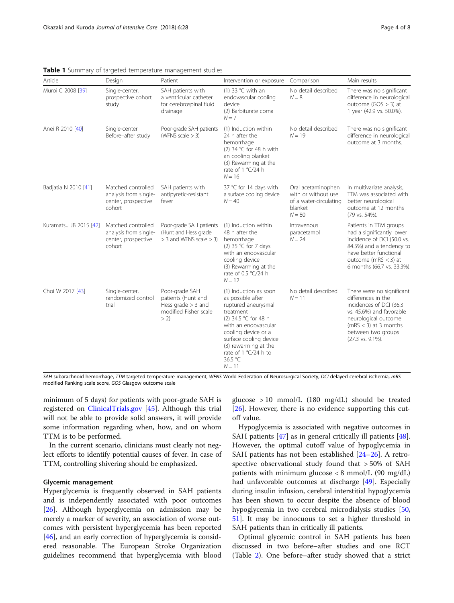| Article                | Design                                                                       | Patient                                                                                       | Intervention or exposure                                                                                                                                                                                                                              | Comparison                                                                                 | Main results                                                                                                                                                                                        |
|------------------------|------------------------------------------------------------------------------|-----------------------------------------------------------------------------------------------|-------------------------------------------------------------------------------------------------------------------------------------------------------------------------------------------------------------------------------------------------------|--------------------------------------------------------------------------------------------|-----------------------------------------------------------------------------------------------------------------------------------------------------------------------------------------------------|
| Muroi C 2008 [39]      | Single-center,<br>prospective cohort<br>study                                | SAH patients with<br>a ventricular catheter<br>for cerebrospinal fluid<br>drainage            | $(1)$ 33 °C with an<br>endovascular cooling<br>device<br>(2) Barbiturate coma<br>$N = 7$                                                                                                                                                              | No detail described<br>$N = 8$                                                             | There was no significant<br>difference in neurological<br>outcome $(GOS > 3)$ at<br>1 year (42.9 vs. 50.0%).                                                                                        |
| Anei R 2010 [40]       | Single-center<br>Before-after study                                          | Poor-grade SAH patients<br>(WFNS scale $>$ 3)                                                 | (1) Induction within<br>24 h after the<br>hemorrhage<br>(2) 34 $°C$ for 48 h with<br>an cooling blanket<br>(3) Rewarming at the<br>rate of 1 °C/24 h<br>$N = 16$                                                                                      | No detail described<br>$N = 19$                                                            | There was no significant<br>difference in neurological<br>outcome at 3 months.                                                                                                                      |
| Badjatia N 2010 [41]   | Matched controlled<br>analysis from single-<br>center, prospective<br>cohort | SAH patients with<br>antipyretic-resistant<br>fever                                           | 37 °C for 14 days with<br>a surface cooling device<br>$N = 40$                                                                                                                                                                                        | Oral acetaminophen<br>with or without use<br>of a water-circulating<br>blanket<br>$N = 80$ | In multivariate analysis,<br>TTM was associated with<br>better neurological<br>outcome at 12 months<br>(79 vs. 54%).                                                                                |
| Kuramatsu JB 2015 [42] | Matched controlled<br>analysis from single-<br>center, prospective<br>cohort | Poor-grade SAH patients<br>(Hunt and Hess grade<br>$>$ 3 and WFNS scale $>$ 3)                | (1) Induction within<br>48 h after the<br>hemorrhage<br>(2) 35 $°C$ for 7 days<br>with an endovascular<br>cooling device<br>(3) Rewarming at the<br>rate of 0.5 °C/24 h<br>$N = 12$                                                                   | Intravenous<br>paracetamol<br>$N = 24$                                                     | Patients in TTM groups<br>had a significantly lower<br>incidence of DCI (50.0 vs.<br>84.5%) and a tendency to<br>have better functional<br>outcome (mRS $<$ 3) at<br>6 months (66.7 vs. 33.3%).     |
| Choi W 2017 [43]       | Single-center,<br>randomized control<br>trial                                | Poor-grade SAH<br>patients (Hunt and<br>Hess grade $>$ 3 and<br>modified Fisher scale<br>> 2) | (1) Induction as soon<br>as possible after<br>ruptured aneurysmal<br>treatment<br>(2) 34.5 ℃ for 48 h<br>with an endovascular<br>cooling device or a<br>surface cooling device<br>(3) rewarming at the<br>rate of 1 °C/24 h to<br>36.5 °C<br>$N = 11$ | No detail described<br>$N = 11$                                                            | There were no significant<br>differences in the<br>incidences of DCI (36.3<br>vs. 45.6%) and favorable<br>neurological outcome<br>$(mRS < 3)$ at 3 months<br>between two groups<br>(27.3 vs. 9.1%). |

<span id="page-3-0"></span>Table 1 Summary of targeted temperature management studies

SAH subarachnoid hemorrhage, TTM targeted temperature management, WFNS World Federation of Neurosurgical Society, DCI delayed cerebral ischemia, mRS modified Ranking scale score, GOS Glasgow outcome scale

minimum of 5 days) for patients with poor-grade SAH is registered on [ClinicalTrials.gov](http://clinicaltrials.gov) [[45](#page-7-0)]. Although this trial will not be able to provide solid answers, it will provide some information regarding when, how, and on whom TTM is to be performed.

In the current scenario, clinicians must clearly not neglect efforts to identify potential causes of fever. In case of TTM, controlling shivering should be emphasized.

# Glycemic management

Hyperglycemia is frequently observed in SAH patients and is independently associated with poor outcomes [[26\]](#page-6-0). Although hyperglycemia on admission may be merely a marker of severity, an association of worse outcomes with persistent hyperglycemia has been reported [[46\]](#page-7-0), and an early correction of hyperglycemia is considered reasonable. The European Stroke Organization guidelines recommend that hyperglycemia with blood glucose  $> 10$  mmol/L (180 mg/dL) should be treated [[26\]](#page-6-0). However, there is no evidence supporting this cutoff value.

Hypoglycemia is associated with negative outcomes in SAH patients [[47\]](#page-7-0) as in general critically ill patients [\[48](#page-7-0)]. However, the optimal cutoff value of hypoglycemia in SAH patients has not been established [[24](#page-6-0)–[26](#page-6-0)]. A retrospective observational study found that > 50% of SAH patients with minimum glucose < 8 mmol/L (90 mg/dL) had unfavorable outcomes at discharge [[49\]](#page-7-0). Especially during insulin infusion, cerebral interstitial hypoglycemia has been shown to occur despite the absence of blood hypoglycemia in two cerebral microdialysis studies [[50](#page-7-0), [51\]](#page-7-0). It may be innocuous to set a higher threshold in SAH patients than in critically ill patients.

Optimal glycemic control in SAH patients has been discussed in two before–after studies and one RCT (Table [2\)](#page-4-0). One before–after study showed that a strict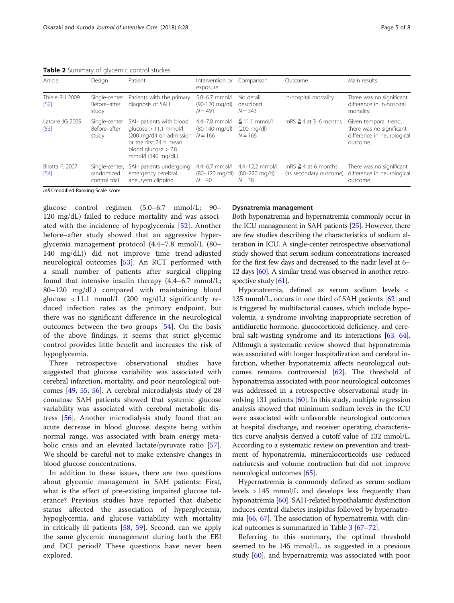<span id="page-4-0"></span>Table 2 Summary of glycemic control studies

| Article                 | Design                                        | Patient                                                                                                                                                           | Intervention or Comparison<br>exposure                    |                                                          | Outcome                                            | Main results                                                                                |
|-------------------------|-----------------------------------------------|-------------------------------------------------------------------------------------------------------------------------------------------------------------------|-----------------------------------------------------------|----------------------------------------------------------|----------------------------------------------------|---------------------------------------------------------------------------------------------|
| Thiele RH 2009<br>[52]  | Single-center<br>Before-after<br>study        | Patients with the primary<br>diagnosis of SAH                                                                                                                     | $5.0 - 6.7$ mmol/l<br>(90-120 mg/dl)<br>$N = 491$         | No detail<br>described<br>$N = 343$                      | In-hospital mortality                              | Three was no significant<br>difference in in-hospital<br>mortality.                         |
| Latorre JG 2009<br>[53] | Single-center<br>Before-after<br>study        | SAH patients with blood<br>$glucose > 11.1$ mmol/l<br>(200 mg/dl) on admission $N = 166$<br>or the first 24 h mean<br>blood glucose $> 7.8$<br>mmol/l (140 mg/dL) | 4.4–7.8 mmol/l<br>(80-140 mg/dl)                          | $\leq$ 11.1 mmol/l<br>$(200 \text{ mg/dl})$<br>$N = 166$ | mRS $\geq$ 4 at 3–6 months                         | Given temporal trend,<br>there was no significant<br>difference in neurological<br>outcome. |
| Bilotta F. 2007<br>[54] | Single-center,<br>randomized<br>control trial | SAH patients undergoing<br>emergency cerebral<br>aneurysm clipping                                                                                                | $4.4 - 6.7$ mmol/l<br>$(80-120 \text{ mg/d})$<br>$N = 40$ | $4.4 - 12.2$ mmol/l<br>(80–220 mg/d)<br>$N = 38$         | $mRS \geq 4$ at 6 months<br>(as secondary outcome) | There was no significant<br>difference in neurologica<br>outcome.                           |

mRS modified Ranking Scale score

glucose control regimen (5.0–6.7 mmol/L; 90– 120 mg/dL) failed to reduce mortality and was associated with the incidence of hypoglycemia [[52\]](#page-7-0). Another before–after study showed that an aggressive hyperglycemia management protocol (4.4–7.8 mmol/L (80– 140 mg/dL)) did not improve time trend-adjusted neurological outcomes [\[53](#page-7-0)]. An RCT performed with a small number of patients after surgical clipping found that intensive insulin therapy (4.4–6.7 mmol/L; 80–120 mg/dL) compared with maintaining blood glucose  $\langle 11.1 \text{ mmol/L} (200 \text{ mg/dL})$  significantly reduced infection rates as the primary endpoint, but there was no significant difference in the neurological outcomes between the two groups [[54\]](#page-7-0). On the basis of the above findings, it seems that strict glycemic control provides little benefit and increases the risk of hypoglycemia.

Three retrospective observational studies have suggested that glucose variability was associated with cerebral infarction, mortality, and poor neurological outcomes [\[49](#page-7-0), [55,](#page-7-0) [56\]](#page-7-0). A cerebral microdialysis study of 28 comatose SAH patients showed that systemic glucose variability was associated with cerebral metabolic distress [\[56\]](#page-7-0). Another microdialysis study found that an acute decrease in blood glucose, despite being within normal range, was associated with brain energy metabolic crisis and an elevated lactate/pyruvate ratio [\[57](#page-7-0)]. We should be careful not to make extensive changes in blood glucose concentrations.

In addition to these issues, there are two questions about glycemic management in SAH patients: First, what is the effect of pre-existing impaired glucose tolerance? Previous studies have reported that diabetic status affected the association of hyperglycemia, hypoglycemia, and glucose variability with mortality in critically ill patients [\[58](#page-7-0), [59\]](#page-7-0). Second, can we apply the same glycemic management during both the EBI and DCI period? These questions have never been explored.

# Dysnatremia management

Both hyponatremia and hypernatremia commonly occur in the ICU management in SAH patients [[25](#page-6-0)]. However, there are few studies describing the characteristics of sodium alteration in ICU. A single-center retrospective observational study showed that serum sodium concentrations increased for the first few days and decreased to the nadir level at 6– 12 days [\[60\]](#page-7-0). A similar trend was observed in another retrospective study [\[61](#page-7-0)].

Hyponatremia, defined as serum sodium levels < 135 mmol/L, occurs in one third of SAH patients [\[62\]](#page-7-0) and is triggered by multifactorial causes, which include hypovolemia, a syndrome involving inappropriate secretion of antidiuretic hormone, glucocorticoid deficiency, and cere-bral salt-wasting syndrome and its interactions [[63](#page-7-0), [64](#page-7-0)]. Although a systematic review showed that hyponatremia was associated with longer hospitalization and cerebral infarction, whether hyponatremia affects neurological outcomes remains controversial [\[62](#page-7-0)]. The threshold of hyponatremia associated with poor neurological outcomes was addressed in a retrospective observational study involving 131 patients  $[60]$ . In this study, multiple regression analysis showed that minimum sodium levels in the ICU were associated with unfavorable neurological outcomes at hospital discharge, and receiver operating characteristics curve analysis derived a cutoff value of 132 mmol/L. According to a systematic review on prevention and treatment of hyponatremia, mineralocorticoids use reduced natriuresis and volume contraction but did not improve neurological outcomes [\[65\]](#page-7-0).

Hypernatremia is commonly defined as serum sodium levels > 145 mmol/L and develops less frequently than hyponatremia [\[60](#page-7-0)]. SAH-related hypothalamic dysfunction induces central diabetes insipidus followed by hypernatremia [\[66,](#page-7-0) [67\]](#page-7-0). The association of hypernatremia with clinical outcomes is summarized in Table [3](#page-5-0) [\[67](#page-7-0)–[72](#page-7-0)].

Referring to this summary, the optimal threshold seemed to be 145 mmol/L, as suggested in a previous study [\[60](#page-7-0)], and hypernatremia was associated with poor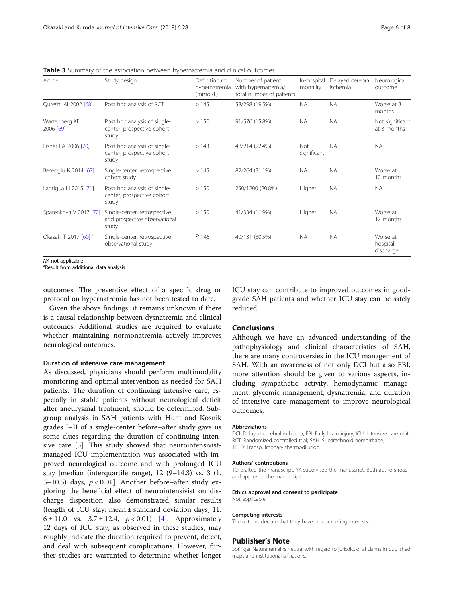| Article                                                                                                              | Study design                                                           | Definition of<br>hypernatremia<br>(mmol/L) | Number of patient<br>with hypernatremia/<br>total number of patients | In-hospital<br>mortality | Delayed cerebral<br>ischemia | Neurological<br>outcome           |
|----------------------------------------------------------------------------------------------------------------------|------------------------------------------------------------------------|--------------------------------------------|----------------------------------------------------------------------|--------------------------|------------------------------|-----------------------------------|
| Qureshi Al 2002 [68]                                                                                                 | Post hoc analysis of RCT                                               | >145                                       | 58/298 (19.5%)                                                       | <b>NA</b>                | <b>NA</b>                    | Worse at 3<br>months              |
| Wartenberg KE<br>2006 [69]                                                                                           | Post hoc analysis of single-<br>center, prospective cohort<br>study    | >150                                       | 91/576 (15.8%)                                                       | <b>NA</b>                | <b>NA</b>                    | Not significant<br>at 3 months    |
| Fisher LA 2006 [70]                                                                                                  | Post hoc analysis of single-<br>center, prospective cohort<br>study    | >143                                       | 48/214 (22.4%)                                                       | Not<br>significant       | <b>NA</b>                    | NA.                               |
| Beseoglu K 2014 [67]                                                                                                 | Single-center, retrospective<br>cohort study                           | >145                                       | 82/264 (31.1%)                                                       | <b>NA</b>                | <b>NA</b>                    | Worse at<br>12 months             |
| Lantigua H 2015 [71]                                                                                                 | Post hoc analysis of single-<br>center, prospective cohort<br>study    | >150                                       | 250/1200 (20.8%)                                                     | Higher                   | <b>NA</b>                    | <b>NA</b>                         |
| Spatenkova V 2017 [72]                                                                                               | Single-center, retrospective<br>and prospective observational<br>study | >150                                       | 41/334 (11.9%)                                                       | Higher                   | <b>NA</b>                    | Worse at<br>12 months             |
| Okazaki T 2017 [60] <sup>a</sup><br>$\mathbf{A} \mathbf{A}$ and $\mathbf{A}$ are as a set of the set of $\mathbf{A}$ | Single-center, retrospective<br>observational study                    | $\geq$ 145                                 | 40/131 (30.5%)                                                       | <b>NA</b>                | <b>NA</b>                    | Worse at<br>hospital<br>discharge |

<span id="page-5-0"></span>Table 3 Summary of the association between hypernatremia and clinical outcomes

NA not applicable

<sup>a</sup>Result from additional data analysis

outcomes. The preventive effect of a specific drug or protocol on hypernatremia has not been tested to date.

Given the above findings, it remains unknown if there is a causal relationship between dysnatremia and clinical outcomes. Additional studies are required to evaluate whether maintaining normonatremia actively improves neurological outcomes.

# Duration of intensive care management

As discussed, physicians should perform multimodality monitoring and optimal intervention as needed for SAH patients. The duration of continuing intensive care, especially in stable patients without neurological deficit after aneurysmal treatment, should be determined. Subgroup analysis in SAH patients with Hunt and Kosnik grades I–II of a single-center before–after study gave us some clues regarding the duration of continuing intensive care [\[5](#page-6-0)]. This study showed that neurointensivistmanaged ICU implementation was associated with improved neurological outcome and with prolonged ICU stay [median (interquartile range), 12 (9–14.3) vs. 3 (1. 5–10.5) days,  $p < 0.01$ ]. Another before–after study exploring the beneficial effect of neurointensivist on discharge disposition also demonstrated similar results (length of ICU stay: mean ± standard deviation days, 11. 6 ± 11.0 vs.  $3.7 \pm 12.4$ ,  $p < 0.01$ ) [\[4\]](#page-6-0). Approximately 12 days of ICU stay, as observed in these studies, may roughly indicate the duration required to prevent, detect, and deal with subsequent complications. However, further studies are warranted to determine whether longer ICU stay can contribute to improved outcomes in goodgrade SAH patients and whether ICU stay can be safely reduced.

# Conclusions

Although we have an advanced understanding of the pathophysiology and clinical characteristics of SAH, there are many controversies in the ICU management of SAH. With an awareness of not only DCI but also EBI, more attention should be given to various aspects, including sympathetic activity, hemodynamic management, glycemic management, dysnatremia, and duration of intensive care management to improve neurological outcomes.

## **Abbreviations**

DCI: Delayed cerebral ischemia; EBI: Early brain injury; ICU: Intensive care unit; RCT: Randomized controlled trial; SAH: Subarachnoid hemorrhage; TPTD: Transpulmonary thermodilution

#### Authors' contributions

TO drafted the manuscript. YK supervised the manuscript. Both authors read and approved the manuscript.

# Ethics approval and consent to participate

Not applicable.

#### Competing interests

The authors declare that they have no competing interests.

# Publisher's Note

Springer Nature remains neutral with regard to jurisdictional claims in published maps and institutional affiliations.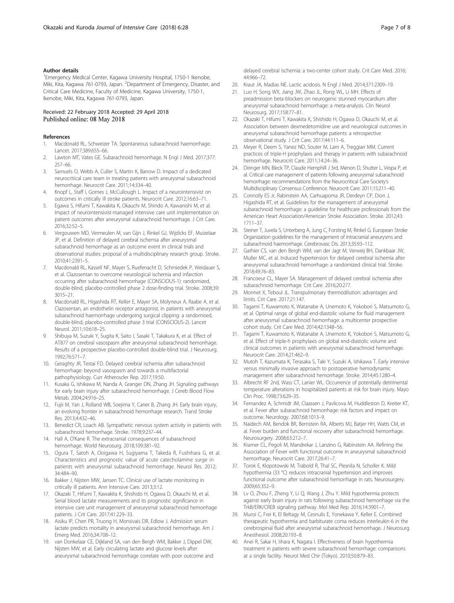# <span id="page-6-0"></span>Author details

<sup>1</sup> Emergency Medical Center, Kagawa University Hospital, 1750-1 Ikenobe, Miki, Kita, Kagawa 761-0793, Japan. <sup>2</sup>Department of Emergency, Disaster, and Critical Care Medicine, Faculty of Medicine, Kagawa University, 1750-1, Ikenobe, Miki, Kita, Kagawa 761-0793, Japan.

# Received: 22 February 2018 Accepted: 29 April 2018 Published online: 08 May 2018

# References

- Macdonald RL, Schweizer TA. Spontaneous subarachnoid haemorrhage. Lancet. 2017;389:655–66.
- 2. Lawton MT, Vates GE. Subarachnoid hemorrhage. N Engl J Med. 2017;377: 257–66.
- 3. Samuels O, Webb A, Culler S, Martin K, Barrow D. Impact of a dedicated neurocritical care team in treating patients with aneurysmal subarachnoid hemorrhage. Neurocrit Care. 2011;14:334–40.
- 4. Knopf L, Staff I, Gomes J, McCullough L. Impact of a neurointensivist on outcomes in critically ill stroke patients. Neurocrit Care. 2012;16:63–71.
- 5. Egawa S, Hifumi T, Kawakita K, Okauchi M, Shindo A, Kawanishi M, et al. Impact of neurointensivist-managed intensive care unit implementation on patient outcomes after aneurysmal subarachnoid hemorrhage. J Crit Care. 2016;32:52–5.
- Vergouwen MD, Vermeulen M, van Gijn J, Rinkel GJ, Wijdicks EF, Muizelaar JP, et al. Definition of delayed cerebral ischemia after aneurysmal subarachnoid hemorrhage as an outcome event in clinical trials and observational studies: proposal of a multidisciplinary research group. Stroke. 2010;41:2391–5.
- 7. Macdonald RL, Kassell NF, Mayer S, Ruefenacht D, Schmiedek P, Weidauer S, et al. Clazosentan to overcome neurological ischemia and infarction occurring after subarachnoid hemorrhage (CONSCIOUS-1): randomized, double-blind, placebo-controlled phase 2 dose-finding trial. Stroke. 2008;39: 3015–21.
- 8. Macdonald RL, Higashida RT, Keller E, Mayer SA, Molyneux A, Raabe A, et al. Clazosentan, an endothelin receptor antagonist, in patients with aneurysmal subarachnoid haemorrhage undergoing surgical clipping: a randomised, double-blind, placebo-controlled phase 3 trial (CONSCIOUS-2). Lancet Neurol. 2011;10:618–25.
- 9. Shibuya M, Suzuki Y, Sugita K, Saito I, Sasaki T, Takakura K, et al. Effect of AT877 on cerebral vasospasm after aneurysmal subarachnoid hemorrhage. Results of a prospective placebo-controlled double-blind trial. J Neurosurg. 1992;76:571–7.
- 10. Geraghty JR, Testai FD. Delayed cerebral ischemia after subarachnoid hemorrhage: beyond vasospasm and towards a multifactorial pathophysiology. Curr Atheroscler Rep. 2017;19:50.
- 11. Kusaka G, Ishikawa M, Nanda A, Granger DN, Zhang JH. Signaling pathways for early brain injury after subarachnoid hemorrhage. J Cereb Blood Flow Metab. 2004;24:916–25.
- 12. Fujii M, Yan J, Rolland WB, Soejima Y, Caner B, Zhang JH. Early brain injury, an evolving frontier in subarachnoid hemorrhage research. Transl Stroke Res. 2013;4:432–46.
- 13. Benedict CR, Loach AB. Sympathetic nervous system activity in patients with subarachnoid hemorrhage. Stroke. 1978;9:237–44.
- 14. Hall A, O'Kane R. The extracranial consequences of subarachnoid hemorrhage. World Neurosurg. 2018;109:381–92.
- 15. Ogura T, Satoh A, Ooigawa H, Sugiyama T, Takeda R, Fushihara G, et al. Characteristics and prognostic value of acute catecholamine surge in patients with aneurysmal subarachnoid hemorrhage. Neurol Res. 2012; 34:484–90.
- 16. Bakker J, Nijsten MW, Jansen TC. Clinical use of lactate monitoring in critically ill patients. Ann Intensive Care. 2013;3:12.
- 17. Okazaki T, Hifumi T, Kawakita K, Shishido H, Ogawa D, Okauchi M, et al. Serial blood lactate measurements and its prognostic significance in intensive care unit management of aneurysmal subarachnoid hemorrhage patients. J Crit Care. 2017;41:229–33.
- 18. Aisiku IP, Chen PR, Truong H, Monsivais DR, Edlow J. Admission serum lactate predicts mortality in aneurysmal subarachnoid hemorrhage. Am J Emerg Med. 2016;34:708–12.
- 19. van Donkelaar CE, Dijkland SA, van den Bergh WM, Bakker J, Dippel DW, Nijsten MW, et al. Early circulating lactate and glucose levels after aneurysmal subarachnoid hemorrhage correlate with poor outcome and

delayed cerebral ischemia: a two-center cohort study. Crit Care Med. 2016; 44:966–72.

- 20. Kraut JA, Madias NE. Lactic acidosis. N Engl J Med. 2014;371:2309–19.
- 21. Luo H, Song WX, Jiang JW, Zhao JL, Rong WL, Li MH. Effects of preadmission beta-blockers on neurogenic stunned myocardium after aneurysmal subarachnoid hemorrhage: a meta-analysis. Clin Neurol Neurosurg. 2017;158:77–81.
- 22. Okazaki T, Hifumi T, Kawakita K, Shishido H, Ogawa D, Okauchi M, et al. Association between dexmedetomidine use and neurological outcomes in aneurysmal subarachnoid hemorrhage patients: a retrospective observational study. J Crit Care. 2017;44:111–6.
- 23. Meyer R, Deem S, Yanez ND, Souter M, Lam A, Treggiari MM. Current practices of triple-H prophylaxis and therapy in patients with subarachnoid hemorrhage. Neurocrit Care. 2011;14:24–36.
- 24. Diringer MN, Bleck TP, Claude Hemphill J 3rd, Menon D, Shutter L, Vespa P, et al. Critical care management of patients following aneurysmal subarachnoid hemorrhage: recommendations from the Neurocritical Care Society's Multidisciplinary Consensus Conference. Neurocrit Care. 2011;15:211–40.
- 25. Connolly ES Jr, Rabinstein AA, Carhuapoma JR, Derdeyn CP, Dion J, Higashida RT, et al. Guidelines for the management of aneurysmal subarachnoid hemorrhage: a guideline for healthcare professionals from the American Heart Association/American Stroke Association. Stroke. 2012;43: 1711–37.
- 26. Steiner T, Juvela S, Unterberg A, Jung C, Forsting M, Rinkel G. European Stroke Organization guidelines for the management of intracranial aneurysms and subarachnoid haemorrhage. Cerebrovasc Dis. 2013;35:93–112.
- 27. Gathier CS, van den Bergh WM, van der Jagt M, Verweij BH, Dankbaar JW, Muller MC, et al. Induced hypertension for delayed cerebral ischemia after aneurysmal subarachnoid hemorrhage: a randomized clinical trial. Stroke. 2018;49:76–83.
- 28. Francoeur CL, Mayer SA. Management of delayed cerebral ischemia after subarachnoid hemorrhage. Crit Care. 2016;20:277.
- 29. Monnet X, Teboul JL. Transpulmonary thermodilution: advantages and limits. Crit Care. 2017;21:147.
- 30. Tagami T, Kuwamoto K, Watanabe A, Unemoto K, Yokobori S, Matsumoto G, et al. Optimal range of global end-diastolic volume for fluid management after aneurysmal subarachnoid hemorrhage: a multicenter prospective cohort study. Crit Care Med. 2014;42:1348–56.
- 31. Tagami T, Kuwamoto K, Watanabe A, Unemoto K, Yokobori S, Matsumoto G, et al. Effect of triple-h prophylaxis on global end-diastolic volume and clinical outcomes in patients with aneurysmal subarachnoid hemorrhage. Neurocrit Care. 2014;21:462–9.
- 32. Mutoh T, Kazumata K, Terasaka S, Taki Y, Suzuki A, Ishikawa T. Early intensive versus minimally invasive approach to postoperative hemodynamic management after subarachnoid hemorrhage. Stroke. 2014;45:1280–4.
- 33. Albrecht RF 2nd, Wass CT, Lanier WL. Occurrence of potentially detrimental temperature alterations in hospitalized patients at risk for brain injury. Mayo Clin Proc. 1998;73:629–35.
- 34. Fernandez A, Schmidt JM, Claassen J, Pavlicova M, Huddleston D, Kreiter KT, et al. Fever after subarachnoid hemorrhage: risk factors and impact on outcome. Neurology. 2007;68:1013–9.
- 35. Naidech AM, Bendok BR, Bernstein RA, Alberts MJ, Batjer HH, Watts CM, et al. Fever burden and functional recovery after subarachnoid hemorrhage. Neurosurgery. 2008;63:212–7.
- 36. Kramer CL, Pegoli M, Mandrekar J, Lanzino G, Rabinstein AA. Refining the Association of Fever with functional outcome in aneurysmal subarachnoid hemorrhage. Neurocrit Care. 2017;26:41–7.
- 37. Torok E, Klopotowski M, Trabold R, Thal SC, Plesnila N, Scholler K. Mild hypothermia (33 °C) reduces intracranial hypertension and improves functional outcome after subarachnoid hemorrhage in rats. Neurosurgery. 2009;65:352–9.
- 38. Lv O, Zhou F, Zheng Y, Li Q, Wang J, Zhu Y. Mild hypothermia protects against early brain injury in rats following subarachnoid hemorrhage via the TrkB/ERK/CREB signaling pathway. Mol Med Rep. 2016;14:3901–7.
- 39. Muroi C, Frei K, El Beltagy M, Cesnulis E, Yonekawa Y, Keller E. Combined therapeutic hypothermia and barbiturate coma reduces interleukin-6 in the cerebrospinal fluid after aneurysmal subarachnoid hemorrhage. J Neurosurg Anesthesiol. 2008;20:193–8.
- 40. Anei R, Sakai H, Iihara K, Nagata I. Effectiveness of brain hypothermia treatment in patients with severe subarachnoid hemorrhage: comparisons at a single facility. Neurol Med Chir (Tokyo). 2010;50:879–83.